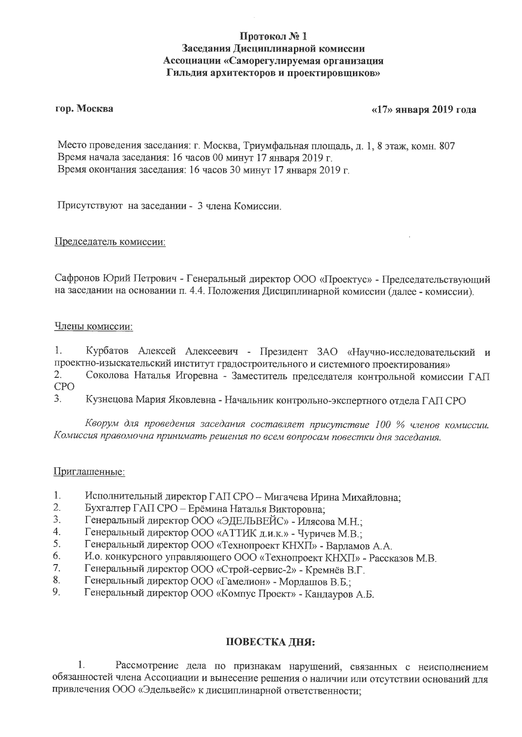# Протокол №1 Заседания Дисциплинарной комиссии Ассоциации «Саморегулируемая организация Гильдия архитекторов и проектировщиков»

### гор. Москва

## «17» января 2019 года

Место проведения заседания: г. Москва, Триумфальная площадь, д. 1, 8 этаж, комн. 807 Время начала заседания: 16 часов 00 минут 17 января 2019 г. Время окончания заседания: 16 часов 30 минут 17 января 2019 г.

Присутствуют на заседании - 3 члена Комиссии.

Председатель комиссии:

Сафронов Юрий Петрович - Генеральный директор ООО «Проектус» - Председательствующий на заседании на основании п. 4.4. Положения Дисциплинарной комиссии (далее - комиссии).

### Члены комиссии:

Курбатов Алексей Алексеевич - Президент ЗАО «Научно-исследовательский и 1. проектно-изыскательский институт градостроительного и системного проектирования»

- $2.$ Соколова Наталья Игоревна - Заместитель председателя контрольной комиссии ГАП **CPO**
- 3. Кузнецова Мария Яковлевна - Начальник контрольно-экспертного отдела ГАП СРО

Кворум для проведения заседания составляет присутствие 100 % членов комиссии. Комиссия правомочна принимать решения по всем вопросам повестки дня заседания.

### Приглашенные:

- 1. Исполнительный директор ГАП СРО - Мигачева Ирина Михайловна;
- $2.$ Бухгалтер ГАП СРО - Ерёмина Наталья Викторовна;
- 3. Генеральный директор ООО «ЭДЕЛЬВЕЙС» - Илясова М.Н.;
- $4.$ Генеральный директор ООО «АТТИК д.и.к.» - Чуричев М.В.;
- 5. Генеральный директор ООО «Технопроект КНХП» - Варламов А.А.
- 6. И.о. конкурсного управляющего ООО «Технопроект КНХП» - Рассказов М.В.
- $7.$ Генеральный директор ООО «Строй-сервис-2» - Кремнёв В.Г.
- 8. Генеральный директор ООО «Гамелион» - Мордашов В.Б.;
- 9. Генеральный директор ООО «Компус Проект» - Кандауров А.Б.

#### ПОВЕСТКА ДНЯ:

1. Рассмотрение дела по признакам нарушений, связанных с неисполнением обязанностей члена Ассоциации и вынесение решения о наличии или отсутствии оснований для привлечения ООО «Эдельвейс» к дисциплинарной ответственности;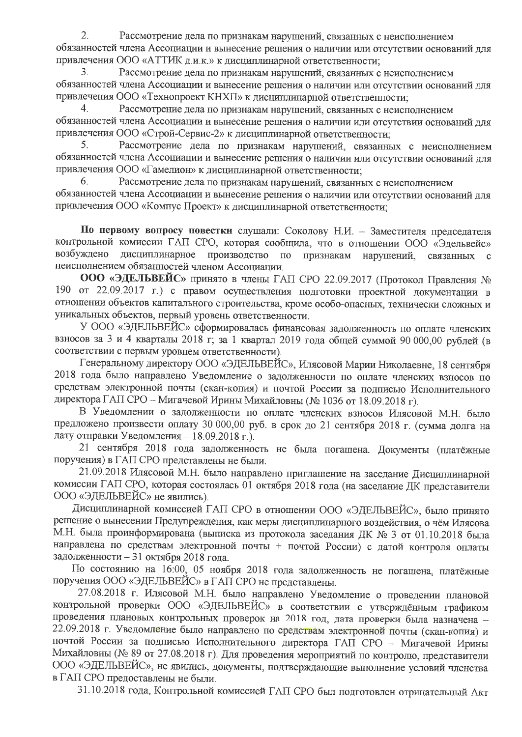$\overline{2}$ . Рассмотрение дела по признакам нарушений, связанных с неисполнением обязанностей члена Ассоциации и вынесение решения о наличии или отсутствии оснований для привлечения ООО «АТТИК д.и.к.» к дисциплинарной ответственности;

3. Рассмотрение дела по признакам нарушений, связанных с неисполнением обязанностей члена Ассоциации и вынесение решения о наличии или отсутствии оснований для привлечения ООО «Технопроект КНХП» к дисциплинарной ответственности;

4. Рассмотрение дела по признакам нарушений, связанных с неисполнением обязанностей члена Ассоциации и вынесение решения о наличии или отсутствии оснований для привлечения ООО «Строй-Сервис-2» к дисциплинарной ответственности;

Рассмотрение дела по признакам нарушений, связанных с неисполнением 5. обязанностей члена Ассоциации и вынесение решения о наличии или отсутствии оснований для привлечения ООО «Гамелион» к дисциплинарной ответственности;

Рассмотрение дела по признакам нарушений, связанных с неисполнением 6. обязанностей члена Ассоциации и вынесение решения о наличии или отсутствии оснований для привлечения ООО «Компус Проект» к дисциплинарной ответственности;

По первому вопросу повестки слушали: Соколову Н.И. - Заместителя председателя контрольной комиссии ГАП СРО, которая сообщила, что в отношении ООО «Эдельвейс» дисциплинарное производство по возбуждено признакам нарушений, связанных  $\mathbf{C}$ неисполнением обязанностей членом Ассоциации.

ООО «ЭДЕЛЬВЕЙС» принято в члены ГАП СРО 22.09.2017 (Протокол Правления № 190 от 22.09.2017 г.) с правом осуществления подготовки проектной документации в отношении объектов капитального строительства, кроме особо-опасных, технически сложных и уникальных объектов, первый уровень ответственности.

У ООО «ЭДЕЛЬВЕЙС» сформировалась финансовая задолженность по оплате членских взносов за 3 и 4 кварталы 2018 г; за 1 квартал 2019 года общей суммой 90 000,00 рублей (в соответствии с первым уровнем ответственности).

Генеральному директору ООО «ЭДЕЛЬВЕЙС», Илясовой Марии Николаевне, 18 сентября 2018 года было направлено Уведомление о задолженности по оплате членских взносов по средствам электронной почты (скан-копия) и почтой России за подписью Исполнительного директора ГАП СРО - Мигачевой Ирины Михайловны (№ 1036 от 18.09.2018 г).

В Уведомлении о задолженности по оплате членских взносов Илясовой М.Н. было предложено произвести оплату 30 000,00 руб. в срок до 21 сентября 2018 г. (сумма долга на дату отправки Уведомления - 18.09.2018 г.).

21 сентября 2018 года задолженность не была погашена. Документы (платёжные поручения) в ГАП СРО представлены не были.

21.09.2018 Илясовой М.Н. было направлено приглашение на заседание Дисциплинарной комиссии ГАП СРО, которая состоялась 01 октября 2018 года (на заседание ДК представители ООО «ЭДЕЛЬВЕЙС» не явились).

Дисциплинарной комиссией ГАП СРО в отношении ООО «ЭДЕЛЬВЕЙС», было принято решение о вынесении Предупреждения, как меры дисциплинарного воздействия, о чём Илясова М.Н. была проинформирована (выписка из протокола заседания ДК № 3 от 01.10.2018 была направлена по средствам электронной почты + почтой России) с датой контроля оплаты задолженности - 31 октября 2018 года.

По состоянию на 16:00, 05 ноября 2018 года задолженность не погашена, платёжные поручения ООО «ЭДЕЛЬВЕЙС» в ГАП СРО не представлены.

27.08.2018 г. Илясовой М.Н. было направлено Уведомление о проведении плановой контрольной проверки ООО «ЭДЕЛЬВЕЙС» в соответствии с утверждённым графиком проведения плановых контрольных проверок на 2018 год, дата проверки была назначена -22.09.2018 г. Уведомление было направлено по средствам электронной почты (скан-копия) и почтой России за подписью Исполнительного директора ГАП СРО - Мигачевой Ирины Михайловны (№ 89 от 27.08.2018 г). Для проведения мероприятий по контролю, представители ООО «ЭДЕЛЬВЕЙС», не явились, документы, подтверждающие выполнение условий членства в ГАП СРО предоставлены не были.

31.10.2018 года, Контрольной комиссией ГАП СРО был подготовлен отрицательный Акт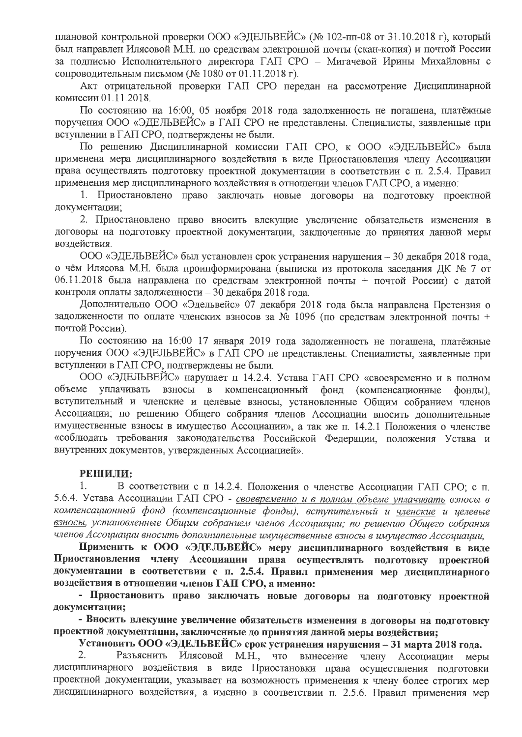плановой контрольной проверки ООО «ЭДЕЛЬВЕЙС» (№ 102-пп-08 от 31.10.2018 г), который был направлен Илясовой М.Н. по средствам электронной почты (скан-копия) и почтой России за подписью Исполнительного директора ГАП СРО - Мигачевой Ирины Михайловны с сопроводительным письмом (№ 1080 от 01.11.2018 г).

Акт отрицательной проверки ГАП СРО передан на рассмотрение Дисциплинарной комиссии 01.11.2018.

По состоянию на 16:00, 05 ноября 2018 года задолженность не погашена, платёжные поручения ООО «ЭДЕЛЬВЕЙС» в ГАП СРО не представлены. Специалисты, заявленные при вступлении в ГАП СРО, подтверждены не были.

По решению Дисциплинарной комиссии ГАП СРО, к ООО «ЭДЕЛЬВЕЙС» была применена мера дисциплинарного воздействия в виде Приостановления члену Ассоциации права осуществлять подготовку проектной документации в соответствии с п. 2.5.4. Правил применения мер дисциплинарного воздействия в отношении членов ГАП СРО, а именно:

1. Приостановлено право заключать новые договоры на подготовку проектной документации;

2. Приостановлено право вносить влекущие увеличение обязательств изменения в договоры на подготовку проектной документации, заключенные до принятия данной меры воздействия.

ООО «ЭДЕЛЬВЕЙС» был установлен срок устранения нарушения - 30 декабря 2018 года, о чём Илясова М.Н. была проинформирована (выписка из протокола заседания ДК № 7 от 06.11.2018 была направлена по средствам электронной почты + почтой России) с датой контроля оплаты задолженности - 30 декабря 2018 года.

Дополнительно ООО «Эдельвейс» 07 декабря 2018 года была направлена Претензия о задолженности по оплате членских взносов за № 1096 (по средствам электронной почты + почтой России).

По состоянию на 16:00 17 января 2019 года задолженность не погашена, платёжные поручения ООО «ЭДЕЛЬВЕЙС» в ГАП СРО не представлены. Специалисты, заявленные при вступлении в ГАП СРО, подтверждены не были.

ООО «ЭДЕЛЬВЕЙС» нарушает п 14.2.4. Устава ГАП СРО «своевременно и в полном объеме уплачивать взносы в компенсационный фонд (компенсационные фонды). вступительный и членские и целевые взносы, установленные Общим собранием членов Ассоциации; по решению Общего собрания членов Ассоциации вносить дополнительные имущественные взносы в имущество Ассоциации», а так же п. 14.2.1 Положения о членстве «соблюдать требования законодательства Российской Федерации, положения Устава и внутренних документов, утвержденных Ассоциацией».

### РЕШИЛИ:

1. В соответствии с п 14.2.4. Положения о членстве Ассоциации ГАП СРО; с п. 5.6.4. Устава Ассоциации ГАП СРО - своевременно и в полном объеме уплачивать взносы в компенсационный фонд (компенсационные фонды), вступительный и членские и целевые взносы, установленные Общим собранием членов Ассоциации; по решению Общего собрания членов Ассоциации вносить дополнительные имущественные взносы в имущество Ассоциации.

Применить к ООО «ЭДЕЛЬВЕЙС» меру дисциплинарного воздействия в виде Приостановления члену Ассоциации права осуществлять подготовку проектной документации в соответствии с п. 2.5.4. Правил применения мер дисциплинарного воздействия в отношении членов ГАП СРО, а именно:

- Приостановить право заключать новые договоры на подготовку проектной документации;

- Вносить влекущие увеличение обязательств изменения в договоры на подготовку проектной документации, заключенные до принятия данной меры воздействия;

Установить ООО «ЭДЕЛЬВЕЙС» срок устранения нарушения - 31 марта 2018 года.

2. Разъяснить Илясовой М.Н., что вынесение члену Ассоциации меры дисциплинарного воздействия в виде Приостановки права осуществления подготовки проектной документации, указывает на возможность применения к члену более строгих мер дисциплинарного воздействия, а именно в соответствии п. 2.5.6. Правил применения мер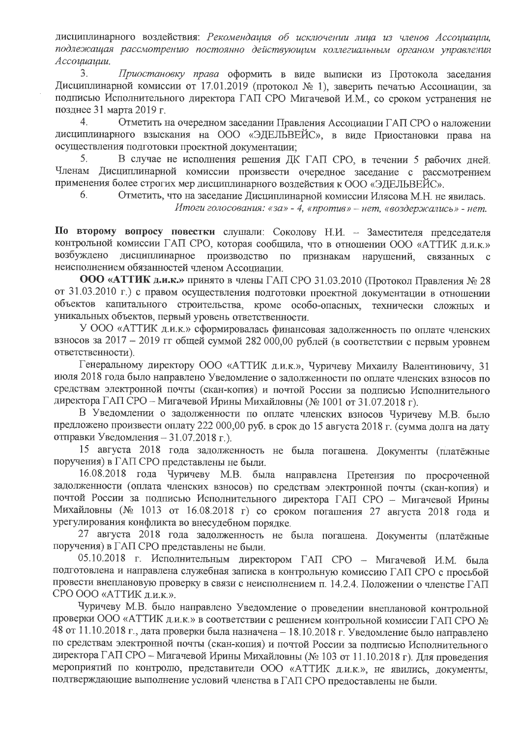дисциплинарного воздействия: Рекомендация об исключении лица из членов Ассоциации, подлежащая рассмотрению постоянно действующим коллегиальным органом управления Ассоциации.

 $\overline{3}$ . Приостановку права оформить в виде выписки из Протокола заседания Дисциплинарной комиссии от 17.01.2019 (протокол № 1), заверить печатью Ассоциации, за подписью Исполнительного директора ГАП СРО Мигачевой И.М., со сроком устранения не позднее 31 марта 2019 г.

 $\overline{4}$ . Отметить на очередном заседании Правления Ассоциации ГАП СРО о наложении дисциплинарного взыскания на ООО «ЭДЕЛЬВЕЙС», в виде Приостановки права на осуществления подготовки проектной документации;

5. В случае не исполнения решения ДК ГАП СРО, в течении 5 рабочих дней. Членам Дисциплинарной комиссии произвести очередное заседание с рассмотрением применения более строгих мер дисциплинарного воздействия к ООО «ЭДЕЛЬВЕЙС».

6. Отметить, что на заседание Дисциплинарной комиссии Илясова М.Н. не явилась.

Итоги голосования: «за» - 4, «против» - нет, «воздержались» - нет.

По второму вопросу повестки слушали: Соколову Н.И. - Заместителя председателя контрольной комиссии ГАП СРО, которая сообщила, что в отношении ООО «АТТИК д.и.к.» возбуждено дисциплинарное производство по признакам нарушений, связанных  $\mathbf{C}$ неисполнением обязанностей членом Ассоциации.

ООО «АТТИК д.и.к.» принято в члены ГАП СРО 31.03.2010 (Протокол Правления № 28 от 31.03.2010 г.) с правом осуществления подготовки проектной документации в отношении объектов капитального строительства, кроме особо-опасных, технически сложных и уникальных объектов, первый уровень ответственности.

У ООО «АТТИК д.и.к.» сформировалась финансовая задолженность по оплате членских взносов за 2017 - 2019 гг общей суммой 282 000,00 рублей (в соответствии с первым уровнем ответственности).

Генеральному директору ООО «АТТИК д.и.к.», Чуричеву Михаилу Валентиновичу, 31 июля 2018 года было направлено Уведомление о задолженности по оплате членских взносов по средствам электронной почты (скан-копия) и почтой России за подписью Исполнительного директора ГАП СРО – Мигачевой Ирины Михайловны (№ 1001 от 31.07.2018 г).

В Уведомлении о задолженности по оплате членских взносов Чуричеву М.В. было предложено произвести оплату 222 000,00 руб. в срок до 15 августа 2018 г. (сумма долга на дату отправки Уведомления - 31.07.2018 г.).

15 августа 2018 года задолженность не была погашена. Документы (платёжные поручения) в ГАП СРО представлены не были.

16.08.2018 года Чуричеву М.В. была направлена Претензия по просроченной задолженности (оплата членских взносов) по средствам электронной почты (скан-копия) и почтой России за подписью Исполнительного директора ГАП СРО - Мигачевой Ирины Михайловны (№ 1013 от 16.08.2018 г) со сроком погашения 27 августа 2018 года и урегулирования конфликта во внесудебном порядке.

27 августа 2018 года задолженность не была погашена. Документы (платёжные поручения) в ГАП СРО представлены не были.

05.10.2018 г. Исполнительным директором ГАП СРО - Мигачевой И.М. была подготовлена и направлена служебная записка в контрольную комиссию ГАП СРО с просьбой провести внеплановую проверку в связи с неисполнением п. 14.2.4. Положении о членстве ГАП СРО ООО «АТТИК д.и.к.».

Чуричеву М.В. было направлено Уведомление о проведении внеплановой контрольной проверки ООО «АТТИК д.и.к.» в соответствии с решением контрольной комиссии ГАП СРО № 48 от 11.10.2018 г., дата проверки была назначена - 18.10.2018 г. Уведомление было направлено по средствам электронной почты (скан-копия) и почтой России за подписью Исполнительного директора ГАП СРО - Мигачевой Ирины Михайловны (№ 103 от 11.10.2018 г). Для проведения мероприятий по контролю, представители ООО «АТТИК д.и.к.», не явились, документы, подтверждающие выполнение условий членства в ГАП СРО предоставлены не были.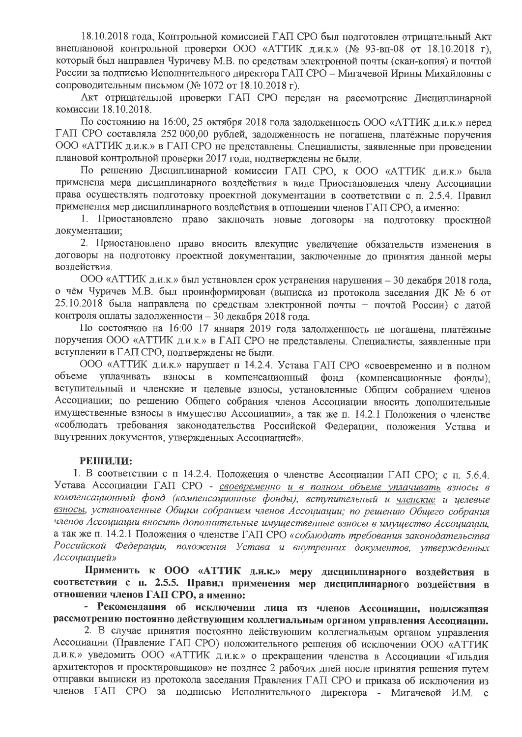18.10.2018 года, Контрольной комиссией ГАП СРО был подготовлен отрицательный Акт внеплановой контрольной проверки ООО «АТТИК д.и.к.» (№ 93-вп-08 от 18.10.2018 г), который был направлен Чуричеву М.В. по средствам электронной почты (скан-копия) и почтой России за подписью Исполнительного директора ГАП СРО - Мигачевой Ирины Михайловны с сопроводительным письмом (№ 1072 от 18.10.2018 г).

Акт отрицательной проверки ГАП СРО передан на рассмотрение Дисциплинарной комиссии 18.10.2018.

По состоянию на 16:00, 25 октября 2018 года задолженность ООО «АТТИК д.и.к.» перед ГАП СРО составляла 252 000,00 рублей, задолженность не погашена, платёжные поручения ООО «АТТИК д.и.к.» в ГАП СРО не представлены. Специалисты, заявленные при проведении плановой контрольной проверки 2017 года, подтверждены не были.

По решению Дисциплинарной комиссии ГАП СРО, к ООО «АТТИК д.и.к.» была применена мера дисциплинарного воздействия в виде Приостановления члену Ассоциации права осуществлять подготовку проектной документации в соответствии с п. 2.5.4. Правил применения мер дисциплинарного воздействия в отношении членов ГАП СРО, а именно:

1. Приостановлено право заключать новые договоры на подготовку проектной документации;

2. Приостановлено право вносить влекущие увеличение обязательств изменения в договоры на подготовку проектной документации, заключенные до принятия данной меры воздействия.

ООО «АТТИК д.и.к.» был установлен срок устранения нарушения – 30 декабря 2018 года. о чём Чуричев М.В. был проинформирован (выписка из протокола заседания ДК № 6 от 25.10.2018 была направлена по средствам электронной почты + почтой России) с датой контроля оплаты задолженности - 30 декабря 2018 года.

По состоянию на 16:00 17 января 2019 года задолженность не погашена, платёжные поручения ООО «АТТИК д.и.к.» в ГАП СРО не представлены. Специалисты, заявленные при вступлении в ГАП СРО, подтверждены не были.

ООО «АТТИК д.и.к.» нарушает п 14.2.4. Устава ГАП СРО «своевременно и в полном объеме уплачивать взносы в компенсационный фонд (компенсационные фонды). вступительный и членские и целевые взносы, установленные Общим собранием членов Ассоциации; по решению Общего собрания членов Ассоциации вносить дополнительные имущественные взносы в имущество Ассоциации», а так же п. 14.2.1 Положения о членстве «соблюдать требования законодательства Российской Федерации, положения Устава и внутренних документов, утвержденных Ассоциацией».

## РЕШИЛИ:

1. В соответствии с п 14.2.4. Положения о членстве Ассоциации ГАП СРО; с п. 5.6.4. Устава Ассоциации ГАП СРО - своевременно и в полном объеме уплачивать взносы в компенсационный фонд (компенсационные фонды), вступительный и <u>членские</u> и целевые взносы, установленные Общим собранием членов Ассоциации; по решению Общего собрания членов Ассоциации вносить дополнительные имущественные взносы в имущество Ассоциации, а так же п. 14.2.1 Положения о членстве ГАП СРО «соблюдать требования законодательства Российской Федерации, положения Устава и внутренних документов, утвержденных Ассоциацией»

Применить к ООО «АТТИК д.и.к.» меру дисциплинарного воздействия в соответствии с п. 2.5.5. Правил применения мер дисциплинарного воздействия в отношении членов ГАП СРО, а именно:

- Рекомендация об исключении лица из членов Ассоциации, подлежащая рассмотрению постоянно действующим коллегиальным органом управления Ассоциации.

2. В случае принятия постоянно действующим коллегиальным органом управления Ассоциации (Правление ГАП СРО) положительного решения об исключении ООО «АТТИК д.и.к.» уведомить ООО «АТТИК д.и.к.» о прекращении членства в Ассоциации «Гильдия архитекторов и проектировщиков» не позднее 2 рабочих дней после принятия решения путем отправки выписки из протокола заседания Правления ГАП СРО и приказа об исключении из членов ГАП СРО за подписью Исполнительного директора - Мигачевой И.М.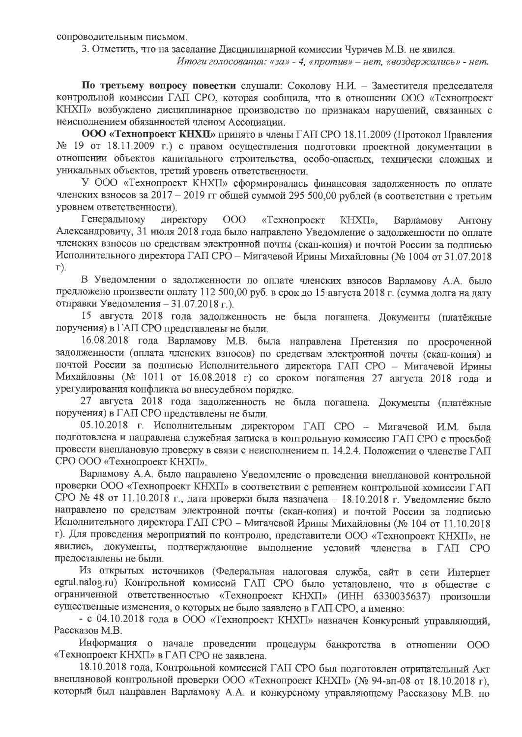сопроводительным письмом.

3. Отметить, что на заседание Дисциплинарной комиссии Чуричев М.В. не явился.

Итоги голосования: «за» - 4, «против» - нет, «воздержались» - нет.

По третьему вопросу повестки слушали: Соколову Н.И. - Заместителя председателя контрольной комиссии ГАП СРО, которая сообщила, что в отношении ООО «Технопроект КНХП» возбуждено дисциплинарное производство по признакам нарушений, связанных с неисполнением обязанностей членом Ассоциации.

ООО «Технопроект КНХП» принято в члены ГАП СРО 18.11.2009 (Протокол Правления № 19 от 18.11.2009 г.) с правом осуществления подготовки проектной документации в отношении объектов капитального строительства, особо-опасных, технически сложных и уникальных объектов, третий уровень ответственности.

У ООО «Технопроект КНХП» сформировалась финансовая задолженность по оплате членских взносов за 2017 - 2019 гг общей суммой 295 500,00 рублей (в соответствии с третьим уровнем ответственности).

Генеральному директору  $000$ «Технопроект KHXII». Варламову Антону Александровичу, 31 июля 2018 года было направлено Уведомление о задолженности по оплате членских взносов по средствам электронной почты (скан-копия) и почтой России за подписью Исполнительного директора ГАП СРО - Мигачевой Ирины Михайловны (№ 1004 от 31.07.2018  $\Gamma$ ).

В Уведомлении о задолженности по оплате членских взносов Варламову А.А. было предложено произвести оплату 112 500,00 руб. в срок до 15 августа 2018 г. (сумма долга на дату отправки Уведомления - 31.07.2018 г.).

15 августа 2018 года задолженность не была погашена. Документы (платёжные поручения) в ГАП СРО представлены не были.

16.08.2018 года Варламову М.В. была направлена Претензия по просроченной задолженности (оплата членских взносов) по средствам электронной почты (скан-копия) и почтой России за подписью Исполнительного директора ГАП СРО - Мигачевой Ирины Михайловны (№ 1011 от 16.08.2018 г) со сроком погашения 27 августа 2018 года и урегулирования конфликта во внесудебном порядке.

27 августа 2018 года задолженность не была погашена. Документы (платёжные поручения) в ГАП СРО представлены не были.

05.10.2018 г. Исполнительным директором ГАП СРО - Мигачевой И.М. была подготовлена и направлена служебная записка в контрольную комиссию ГАП СРО с просьбой провести внеплановую проверку в связи с неисполнением п. 14.2.4. Положении о членстве ГАП СРО ООО «Технопроект КНХП».

Варламову А.А. было направлено Уведомление о проведении внеплановой контрольной проверки ООО «Технопроект КНХП» в соответствии с решением контрольной комиссии ГАП СРО № 48 от 11.10.2018 г., дата проверки была назначена - 18.10.2018 г. Уведомление было направлено по средствам электронной почты (скан-копия) и почтой России за подписью Исполнительного директора ГАП СРО - Мигачевой Ирины Михайловны (№ 104 от 11.10.2018 г). Для проведения мероприятий по контролю, представители ООО «Технопроект КНХП», не явились, документы, подтверждающие выполнение условий членства в ГАП СРО предоставлены не были.

Из открытых источников (Федеральная налоговая служба, сайт в сети Интернет egrul.nalog.ru) Контрольной комиссий ГАП СРО было установлено, что в обществе с ограниченной ответственностью «Технопроект КНХП» (ИНН 6330035637) произошли существенные изменения, о которых не было заявлено в ГАП СРО, а именно:

- с 04.10.2018 года в ООО «Технопроект КНХП» назначен Конкурсный управляющий, Рассказов М.В.

Информация о начале проведении процедуры банкротства в отношении ООО «Технопроект КНХП» в ГАП СРО не заявлена.

18.10.2018 года, Контрольной комиссией ГАП СРО был подготовлен отрицательный Акт внеплановой контрольной проверки ООО «Технопроект КНХП» (№ 94-вп-08 от 18.10.2018 г), который был направлен Варламову А.А. и конкурсному управляющему Рассказову М.В. по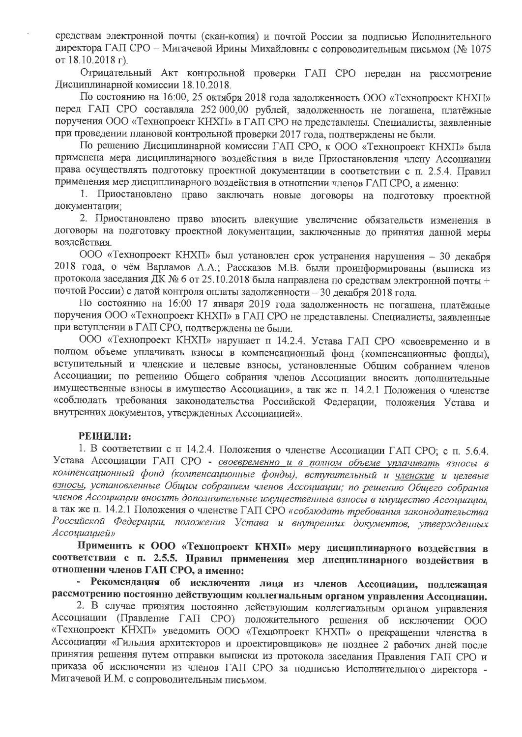средствам электронной почты (скан-копия) и почтой России за подписью Исполнительного директора ГАП СРО - Мигачевой Ирины Михайловны с сопроводительным письмом (№ 1075 от 18.10.2018 г).

Отрицательный Акт контрольной проверки ГАП СРО передан на рассмотрение Дисциплинарной комиссии 18.10.2018.

По состоянию на 16:00, 25 октября 2018 года задолженность ООО «Технопроект КНХП» перед ГАП СРО составляла 252 000,00 рублей, задолженность не погашена, платёжные поручения ООО «Технопроект КНХП» в ГАП СРО не представлены. Специалисты, заявленные при проведении плановой контрольной проверки 2017 года, подтверждены не были.

По решению Дисциплинарной комиссии ГАП СРО, к ООО «Технопроект КНХП» была применена мера дисциплинарного воздействия в виде Приостановления члену Ассоциации права осуществлять подготовку проектной документации в соответствии с п. 2.5.4. Правил применения мер дисциплинарного воздействия в отношении членов ГАП СРО, а именно:

1. Приостановлено право заключать новые договоры на подготовку проектной документации:

2. Приостановлено право вносить влекущие увеличение обязательств изменения в договоры на подготовку проектной документации, заключенные до принятия данной меры воздействия.

ООО «Технопроект КНХП» был установлен срок устранения нарушения - 30 декабря 2018 года, о чём Варламов А.А.; Рассказов М.В. были проинформированы (выписка из протокола заседания ДК № 6 от 25.10.2018 была направлена по средствам электронной почты + почтой России) с датой контроля оплаты задолженности - 30 декабря 2018 года.

По состоянию на 16:00 17 января 2019 года задолженность не погашена, платёжные поручения ООО «Технопроект КНХП» в ГАП СРО не представлены. Специалисты, заявленные при вступлении в ГАП СРО, подтверждены не были.

ООО «Технопроект КНХП» нарушает п 14.2.4. Устава ГАП СРО «своевременно и в полном объеме уплачивать взносы в компенсационный фонд (компенсационные фонды), вступительный и членские и целевые взносы, установленные Общим собранием членов Ассоциации; по решению Общего собрания членов Ассоциации вносить дополнительные имущественные взносы в имущество Ассоциации», а так же п. 14.2.1 Положения о членстве «соблюдать требования законодательства Российской Федерации, положения Устава и внутренних документов, утвержденных Ассоциацией».

### РЕШИЛИ:

1. В соответствии с п 14.2.4. Положения о членстве Ассоциации ГАП СРО; с п. 5.6.4. Устава Ассоциации ГАП СРО - своевременно и в полном объеме уплачивать взносы в компенсационный фонд (компенсационные фонды), вступительный и членские и целевые взносы, установленные Общим собранием членов Ассоциации; по решению Общего собрания членов Ассоциации вносить дополнительные имущественные взносы в имущество Ассоциации, а так же п. 14.2.1 Положения о членстве ГАП СРО «соблюдать требования законодательства Российской Федерации, положения Устава и внутренних документов, утвержденных Ассоциацией»

Применить к ООО «Технопроект КНХП» меру дисциплинарного воздействия в соответствии с п. 2.5.5. Правил применения мер дисциплинарного воздействия в отношении членов ГАП СРО, а именно:

- Рекомендация об исключении лица из членов Ассоциации, подлежащая рассмотрению постоянно действующим коллегиальным органом управления Ассоциации.

2. В случае принятия постоянно действующим коллегиальным органом управления Ассоциации (Правление ГАП СРО) положительного решения об исключении ООО «Технопроект КНХП» уведомить ООО «Технопроект КНХП» о прекращении членства в Ассоциации «Гильдия архитекторов и проектировщиков» не позднее 2 рабочих дней после принятия решения путем отправки выписки из протокола заседания Правления ГАП СРО и приказа об исключении из членов ГАП СРО за подписью Исполнительного директора -Мигачевой И.М. с сопроводительным письмом.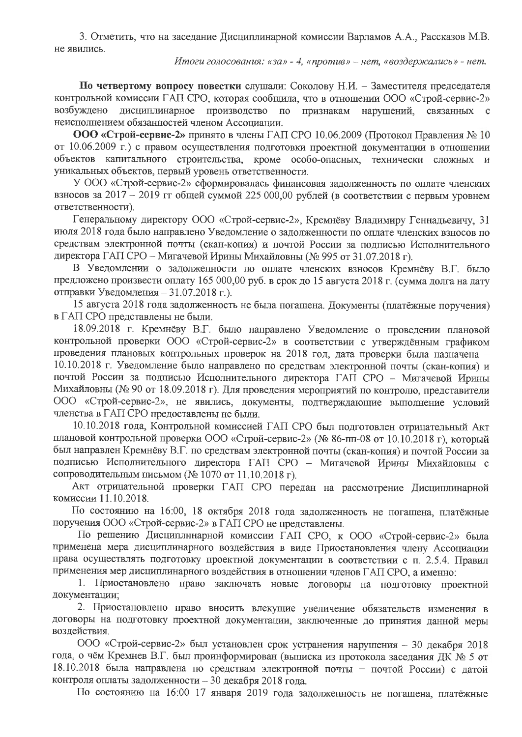3. Отметить, что на заседание Дисциплинарной комиссии Варламов А.А., Рассказов М.В. не явились.

Итоги голосования: «за» - 4, «против» - нет, «воздержались» - нет.

По четвертому вопросу повестки слушали: Соколову Н.И. - Заместителя председателя контрольной комиссии ГАП СРО, которая сообщила, что в отношении ООО «Строй-сервис-2» возбуждено дисциплинарное производство по признакам нарушений, связанных с неисполнением обязанностей членом Ассоциации.

ООО «Строй-сервис-2» принято в члены ГАП СРО 10.06.2009 (Протокол Правления № 10 от 10.06.2009 г.) с правом осуществления подготовки проектной документации в отношении объектов капитального строительства, кроме особо-опасных, технически сложных и уникальных объектов, первый уровень ответственности.

У ООО «Строй-сервис-2» сформировалась финансовая задолженность по оплате членских взносов за 2017 - 2019 гг общей суммой 225 000,00 рублей (в соответствии с первым уровнем ответственности).

Генеральному директору ООО «Строй-сервис-2», Кремнёву Владимиру Геннадьевичу, 31 июля 2018 года было направлено Уведомление о задолженности по оплате членских взносов по средствам электронной почты (скан-копия) и почтой России за подписью Исполнительного директора ГАП СРО - Мигачевой Ирины Михайловны (№ 995 от 31.07.2018 г).

В Уведомлении о задолженности по оплате членских взносов Кремнёву В.Г. было предложено произвести оплату 165 000,00 руб. в срок до 15 августа 2018 г. (сумма долга на дату отправки Уведомления - 31.07.2018 г.).

15 августа 2018 года задолженность не была погашена. Документы (платёжные поручения) в ГАП СРО представлены не были.

18.09.2018 г. Кремнёву В.Г. было направлено Уведомление о проведении плановой контрольной проверки ООО «Строй-сервис-2» в соответствии с утверждённым графиком проведения плановых контрольных проверок на 2018 год, дата проверки была назначена -10.10.2018 г. Уведомление было направлено по средствам электронной почты (скан-копия) и почтой России за подписью Исполнительного директора ГАП СРО - Мигачевой Ирины Михайловны (№ 90 от 18.09.2018 г). Для проведения мероприятий по контролю, представители ООО «Строй-сервис-2», не явились, документы, подтверждающие выполнение условий членства в ГАП СРО предоставлены не были.

10.10.2018 года, Контрольной комиссией ГАП СРО был подготовлен отрицательный Акт плановой контрольной проверки ООО «Строй-сервис-2» (№ 86-пп-08 от 10.10.2018 г), который был направлен Кремнёву В.Г. по средствам электронной почты (скан-копия) и почтой России за подписью Исполнительного директора ГАП СРО - Мигачевой Ирины Михайловны с сопроводительным письмом (№ 1070 от 11.10.2018 г).

Акт отрицательной проверки ГАП СРО передан на рассмотрение Дисциплинарной комиссии 11.10.2018.

По состоянию на 16:00, 18 октября 2018 года задолженность не погашена, платёжные поручения ООО «Строй-сервис-2» в ГАП СРО не представлены.

По решению Дисциплинарной комиссии ГАП СРО, к ООО «Строй-сервис-2» была применена мера дисциплинарного воздействия в виде Приостановления члену Ассоциации права осуществлять подготовку проектной документации в соответствии с п. 2.5.4. Правил применения мер дисциплинарного воздействия в отношении членов ГАП СРО, а именно:

1. Приостановлено право заключать новые договоры на подготовку проектной документации;

2. Приостановлено право вносить влекущие увеличение обязательств изменения в договоры на подготовку проектной документации, заключенные до принятия данной меры воздействия.

ООО «Строй-сервис-2» был установлен срок устранения нарушения - 30 декабря 2018 года, о чём Кремнев В.Г. был проинформирован (выписка из протокола заседания ДК № 5 от 18.10.2018 была направлена по средствам электронной почты + почтой России) с датой контроля оплаты задолженности - 30 декабря 2018 года.

По состоянию на 16:00 17 января 2019 года задолженность не погашена, платёжные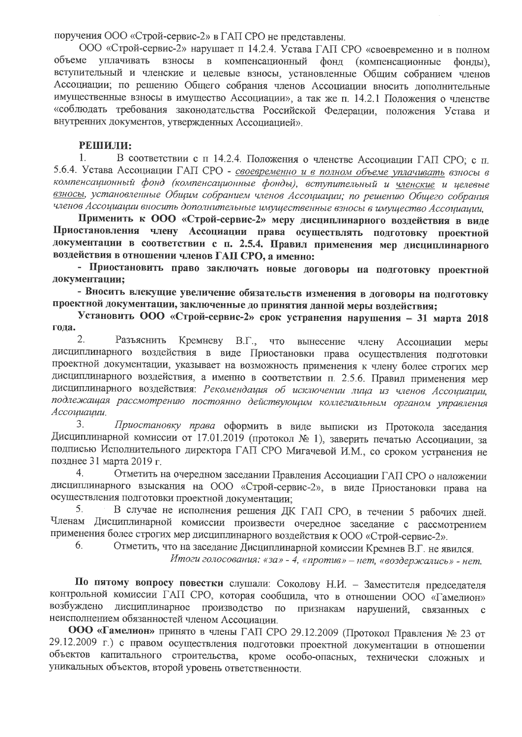поручения ООО «Строй-сервис-2» в ГАП СРО не представлены.

ООО «Строй-сервис-2» нарушает п 14.2.4. Устава ГАП СРО «своевременно и в полном объеме уплачивать ВЗНОСЫ В компенсационный фонд (компенсационные фонды). вступительный и членские и целевые взносы, установленные Общим собранием членов Ассоциации; по решению Общего собрания членов Ассоциации вносить дополнительные имущественные взносы в имущество Ассоциации», а так же п. 14.2.1 Положения о членстве «соблюдать требования законодательства Российской Федерации, положения Устава и внутренних документов, утвержденных Ассоциацией».

## РЕШИЛИ:

1. В соответствии с п 14.2.4. Положения о членстве Ассоциации ГАП СРО; с п. 5.6.4. Устава Ассоциации ГАП СРО - своевременно и в полном объеме уплачивать взносы в компенсационный фонд (компенсационные фонды), вступительный и уленские и целевые взносы, установленные Общим собранием членов Ассоциации; по решению Общего собрания членов Ассоциации вносить дополнительные имущественные взносы в имущество Ассоциации,

Применить к ООО «Строй-сервис-2» меру дисциплинарного воздействия в виде Приостановления члену Ассоциации права осуществлять подготовку проектной документации в соответствии с п. 2.5.4. Правил применения мер дисциплинарного воздействия в отношении членов ГАП СРО, а именно:

- Приостановить право заключать новые договоры на подготовку проектной документации;

- Вносить влекущие увеличение обязательств изменения в договоры на подготовку проектной документации, заключенные до принятия данной меры воздействия;

Установить ООО «Строй-сервис-2» срок устранения нарушения - 31 марта 2018 года.

 $2.$ Кремневу В.Г., Разъяснить что вынесение члену Ассоциации меры дисциплинарного воздействия в виде Приостановки права осуществления подготовки проектной документации, указывает на возможность применения к члену более строгих мер дисциплинарного воздействия, а именно в соответствии п. 2.5.6. Правил применения мер дисциплинарного воздействия: Рекомендация об исключении лица из членов Ассоциации, подлежащая рассмотрению постоянно действующим коллегиальным органом управления Ассоциации.

3. Приостановку права оформить в виде выписки из Протокола заседания Дисциплинарной комиссии от 17.01.2019 (протокол № 1), заверить печатью Ассоциации, за подписью Исполнительного директора ГАП СРО Мигачевой И.М., со сроком устранения не позднее 31 марта 2019 г.

4. Отметить на очередном заседании Правления Ассоциации ГАП СРО о наложении дисциплинарного взыскания на ООО «Строй-сервис-2», в виде Приостановки права на осуществления подготовки проектной документации:

В случае не исполнения решения ДК ГАП СРО, в течении 5 рабочих дней. 5. Членам Дисциплинарной комиссии произвести очередное заседание с рассмотрением применения более строгих мер дисциплинарного воздействия к ООО «Строй-сервис-2». 6.

Отметить, что на заседание Дисциплинарной комиссии Кремнев В.Г. не явился.

Итоги голосования: «за» - 4, «против» - нет, «воздержались» - нет.

По пятому вопросу повестки слушали: Соколову Н.И. - Заместителя председателя контрольной комиссии ГАП СРО, которая сообщила, что в отношении ООО «Гамелион» возбуждено дисциплинарное производство по признакам нарушений, связанных  $\mathbf{c}$ неисполнением обязанностей членом Ассоциации.

ООО «Гамелион» принято в члены ГАП СРО 29.12.2009 (Протокол Правления № 23 от 29.12.2009 г.) с правом осуществления подготовки проектной документации в отношении объектов капитального строительства, кроме особо-опасных, технически сложных и уникальных объектов, второй уровень ответственности.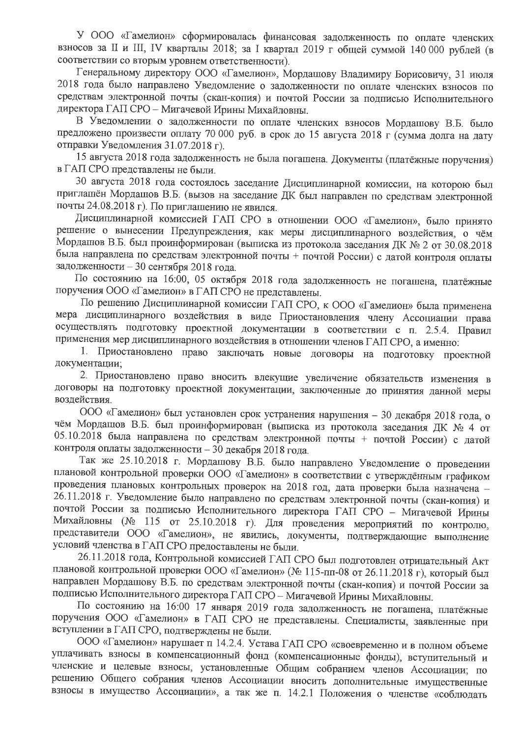У ООО «Гамелион» сформировалась финансовая задолженность по оплате членских взносов за II и III, IV кварталы 2018; за I квартал 2019 г общей суммой 140 000 рублей (в соответствии со вторым уровнем ответственности).

Генеральному директору ООО «Гамелион», Мордашову Владимиру Борисовичу, 31 июля 2018 года было направлено Уведомление о задолженности по оплате членских взносов по средствам электронной почты (скан-копия) и почтой России за подписью Исполнительного директора ГАП СРО - Мигачевой Ирины Михайловны.

В Уведомлении о задолженности по оплате членских взносов Мордашову В.Б. было предложено произвести оплату 70 000 руб. в срок до 15 августа 2018 г (сумма долга на дату отправки Уведомления 31.07.2018 г).

15 августа 2018 года задолженность не была погашена. Документы (платёжные поручения) в ГАП СРО представлены не были.

30 августа 2018 года состоялось заседание Дисциплинарной комиссии, на которою был приглашён Мордашов В.Б. (вызов на заседание ДК был направлен по средствам электронной почты 24.08.2018 г). По приглашению не явился.

Дисциплинарной комиссией ГАП СРО в отношении ООО «Гамелион», было принято решение о вынесении Предупреждения, как меры дисциплинарного воздействия, о чём Мордашов В.Б. был проинформирован (выписка из протокола заседания ДК № 2 от 30.08.2018 была направлена по средствам электронной почты + почтой России) с датой контроля оплаты задолженности - 30 сентября 2018 года.

По состоянию на 16:00, 05 октября 2018 года задолженность не погашена, платёжные поручения ООО «Гамелион» в ГАП СРО не представлены.

По решению Дисциплинарной комиссии ГАП СРО, к ООО «Гамелион» была применена мера дисциплинарного воздействия в виде Приостановления члену Ассоциации права осуществлять подготовку проектной документации в соответствии с п. 2.5.4. Правил применения мер дисциплинарного воздействия в отношении членов ГАП СРО, а именно:

1. Приостановлено право заключать новые договоры на подготовку проектной документации;

2. Приостановлено право вносить влекущие увеличение обязательств изменения в договоры на подготовку проектной документации, заключенные до принятия данной меры воздействия.

ООО «Гамелион» был установлен срок устранения нарушения - 30 декабря 2018 года, о чём Мордашов В.Б. был проинформирован (выписка из протокола заседания ДК № 4 от 05.10.2018 была направлена по средствам электронной почты + почтой России) с датой контроля оплаты задолженности - 30 декабря 2018 года.

Так же 25.10.2018 г. Мордашову В.Б. было направлено Уведомление о проведении плановой контрольной проверки ООО «Гамелион» в соответствии с утверждённым графиком проведения плановых контрольных проверок на 2018 год, дата проверки была назначена -26.11.2018 г. Уведомление было направлено по средствам электронной почты (скан-копия) и почтой России за подписью Исполнительного директора ГАП СРО - Мигачевой Ирины Михайловны (№ 115 от 25.10.2018 г). Для проведения мероприятий по контролю, представители ООО «Гамелион», не явились, документы, подтверждающие выполнение условий членства в ГАП СРО предоставлены не были.

26.11.2018 года, Контрольной комиссией ГАП СРО был подготовлен отрицательный Акт плановой контрольной проверки ООО «Гамелион» (№ 115-пп-08 от 26.11.2018 г), который был направлен Мордашову В.Б. по средствам электронной почты (скан-копия) и почтой России за подписью Исполнительного директора ГАП СРО - Мигачевой Ирины Михайловны.

По состоянию на 16:00 17 января 2019 года задолженность не погашена, платёжные поручения ООО «Гамелион» в ГАП СРО не представлены. Специалисты, заявленные при вступлении в ГАП СРО, подтверждены не были.

ООО «Гамелион» нарушает п 14.2.4. Устава ГАП СРО «своевременно и в полном объеме уплачивать взносы в компенсационный фонд (компенсационные фонды), вступительный и членские и целевые взносы, установленные Общим собранием членов Ассоциации; по решению Общего собрания членов Ассоциации вносить дополнительные имущественные взносы в имущество Ассоциации», а так же п. 14.2.1 Положения о членстве «соблюдать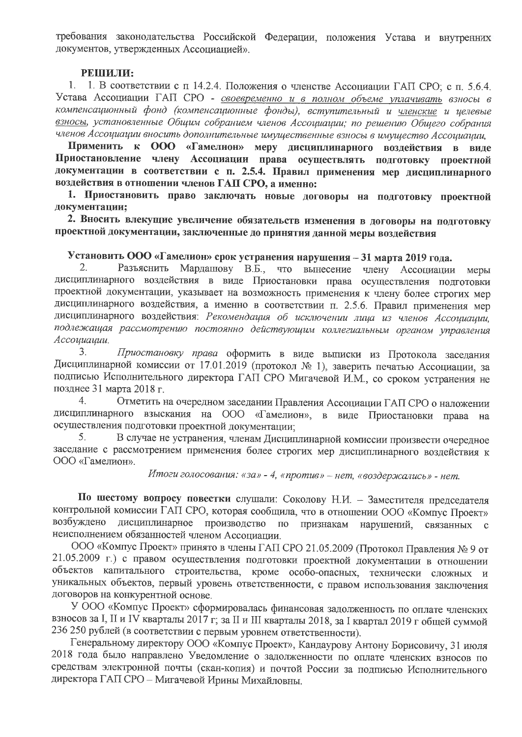требования законодательства Российской Федерации, положения Устава и внутренних документов, утвержденных Ассоциацией».

### РЕШИЛИ:

1. 1. В соответствии с п 14.2.4. Положения о членстве Ассоциации ГАП СРО; с п. 5.6.4. Устава Ассоциации ГАП СРО - своевременно и в полном объеме уплачивать взносы в компенсационный фонд (компенсационные фонды), вступительный и членские и целевые взносы, установленные Общим собранием членов Ассоциации; по решению Общего собрания членов Ассоциации вносить дополнительные имущественные взносы в имущество Ассоциации,

Применить к ООО «Гамелион» меру дисциплинарного воздействия в виде Приостановление члену Ассоциации права осуществлять подготовку проектной документации в соответствии с п. 2.5.4. Правил применения мер дисциплинарного воздействия в отношении членов ГАП СРО, а именно:

1. Приостановить право заключать новые договоры на подготовку проектной документации:

2. Вносить влекущие увеличение обязательств изменения в договоры на подготовку проектной документации, заключенные до принятия данной меры воздействия

# Установить ООО «Гамелион» срок устранения нарушения - 31 марта 2019 года.

2. Разъяснить Мардашову В.Б., что вынесение члену Ассоциации меры дисциплинарного воздействия в виде Приостановки права осуществления подготовки проектной документации, указывает на возможность применения к члену более строгих мер дисциплинарного воздействия, а именно в соответствии п. 2.5.6. Правил применения мер дисциплинарного воздействия: Рекомендация об исключении лица из членов Ассоциации, подлежащая рассмотрению постоянно действующим коллегиальным органом управления Ассоциации.

3. Приостановку права оформить в виде выписки из Протокола заседания Дисциплинарной комиссии от 17.01.2019 (протокол № 1), заверить печатью Ассоциации, за подписью Исполнительного директора ГАП СРО Мигачевой И.М., со сроком устранения не позднее 31 марта 2018 г.

4. Отметить на очередном заседании Правления Ассоциации ГАП СРО о наложении дисциплинарного взыскания на ООО «Гамелион», в виде Приостановки права на осуществления подготовки проектной документации;

5. В случае не устранения, членам Дисциплинарной комиссии произвести очередное заседание с рассмотрением применения более строгих мер дисциплинарного воздействия к ООО «Гамелион».

# Итоги голосования: «за» - 4, «против» - нет, «воздержались» - нет.

По шестому вопросу повестки слушали: Соколову Н.И. - Заместителя председателя контрольной комиссии ГАП СРО, которая сообщила, что в отношении ООО «Компус Проект» дисциплинарное производство возбуждено по признакам нарушений, связанных с неисполнением обязанностей членом Ассоциации.

ООО «Компус Проект» принято в члены ГАП СРО 21.05.2009 (Протокол Правления № 9 от 21.05.2009 г.) с правом осуществления подготовки проектной документации в отношении объектов капитального строительства, кроме особо-опасных, технически сложных и уникальных объектов, первый уровень ответственности, с правом использования заключения договоров на конкурентной основе.

У ООО «Компус Проект» сформировалась финансовая задолженность по оплате членских взносов за І, ІІ и IV кварталы 2017 г; за ІІ и III кварталы 2018, за І квартал 2019 г общей суммой 236 250 рублей (в соответствии с первым уровнем ответственности).

Генеральному директору ООО «Компус Проект», Кандаурову Антону Борисовичу, 31 июля 2018 года было направлено Уведомление о задолженности по оплате членских взносов по средствам электронной почты (скан-копия) и почтой России за подписью Исполнительного директора ГАП СРО - Мигачевой Ирины Михайловны.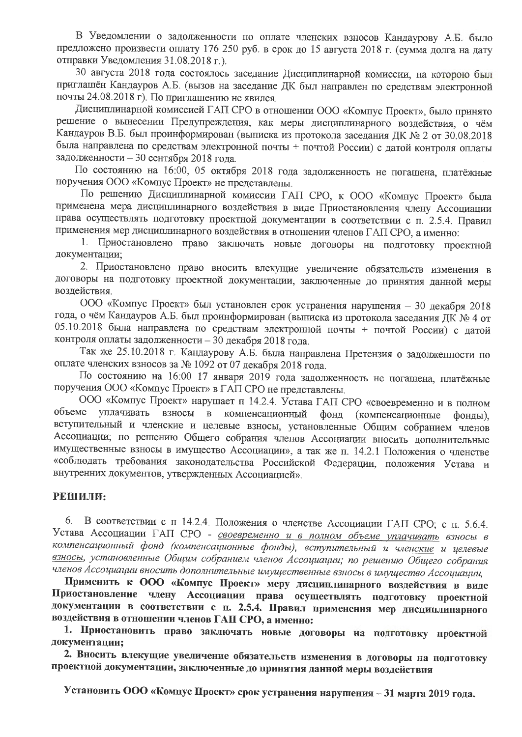В Уведомлении о задолженности по оплате членских взносов Кандаурову А.Б. было предложено произвести оплату 176 250 руб. в срок до 15 августа 2018 г. (сумма долга на дату отправки Уведомления 31.08.2018 г.).

30 августа 2018 года состоялось заседание Дисциплинарной комиссии, на которою был приглашён Кандауров А.Б. (вызов на заседание ДК был направлен по средствам электронной почты 24.08.2018 г). По приглашению не явился.

Дисциплинарной комиссией ГАП СРО в отношении ООО «Компус Проект», было принято решение о вынесении Предупреждения, как меры дисциплинарного воздействия, о чём Кандауров В.Б. был проинформирован (выписка из протокола заседания ДК № 2 от 30.08.2018 была направлена по средствам электронной почты + почтой России) с датой контроля оплаты задолженности - 30 сентября 2018 года.

По состоянию на 16:00, 05 октября 2018 года задолженность не погашена, платёжные поручения ООО «Компус Проект» не представлены.

По решению Дисциплинарной комиссии ГАП СРО, к ООО «Компус Проект» была применена мера дисциплинарного воздействия в виде Приостановления члену Ассоциации права осуществлять подготовку проектной документации в соответствии с п. 2.5.4. Правил применения мер дисциплинарного воздействия в отношении членов ГАП СРО, а именно:

1. Приостановлено право заключать новые договоры на подготовку проектной документации;

2. Приостановлено право вносить влекущие увеличение обязательств изменения в договоры на подготовку проектной документации, заключенные до принятия данной меры воздействия.

ООО «Компус Проект» был установлен срок устранения нарушения - 30 декабря 2018 года, о чём Кандауров А.Б. был проинформирован (выписка из протокола заседания ДК № 4 от 05.10.2018 была направлена по средствам электронной почты + почтой России) с датой контроля оплаты задолженности - 30 декабря 2018 года.

Так же 25.10.2018 г. Кандаурову А.Б. была направлена Претензия о задолженности по оплате членских взносов за № 1092 от 07 декабря 2018 года.

По состоянию на 16:00 17 января 2019 года задолженность не погашена, платёжные поручения ООО «Компус Проект» в ГАП СРО не представлены.

ООО «Компус Проект» нарушает п 14.2.4. Устава ГАП СРО «своевременно и в полном объеме уплачивать взносы компенсационный  $\mathbf{B}$ фонд (компенсационные фонды). вступительный и членские и целевые взносы, установленные Общим собранием членов Ассоциации; по решению Общего собрания членов Ассоциации вносить дополнительные имущественные взносы в имущество Ассоциации», а так же п. 14.2.1 Положения о членстве «соблюдать требования законодательства Российской Федерации, положения Устава и внутренних документов, утвержденных Ассоциацией».

#### РЕШИЛИ:

6. В соответствии с п 14.2.4. Положения о членстве Ассоциации ГАП СРО; с п. 5.6.4. Устава Ассоциации ГАП СРО - своевременно и в полном объеме уплачивать взносы в компенсационный фонд (компенсационные фонды), вступительный и <u>членские</u> и целевые взносы, установленные Общим собранием членов Ассоциации; по решению Общего собрания членов Ассоциации вносить дополнительные имущественные взносы в имущество Ассоциации,

Применить к ООО «Компус Проект» меру дисциплинарного воздействия в виде Приостановление члену Ассоциации права осуществлять подготовку проектной документации в соответствии с п. 2.5.4. Правил применения мер дисциплинарного воздействия в отношении членов ГАП СРО, а именно:

1. Приостановить право заключать новые договоры на подготовку проектной документации;

2. Вносить влекущие увеличение обязательств изменения в договоры на подготовку проектной документации, заключенные до принятия данной меры воздействия

Установить ООО «Компус Проект» срок устранения нарушения - 31 марта 2019 года.